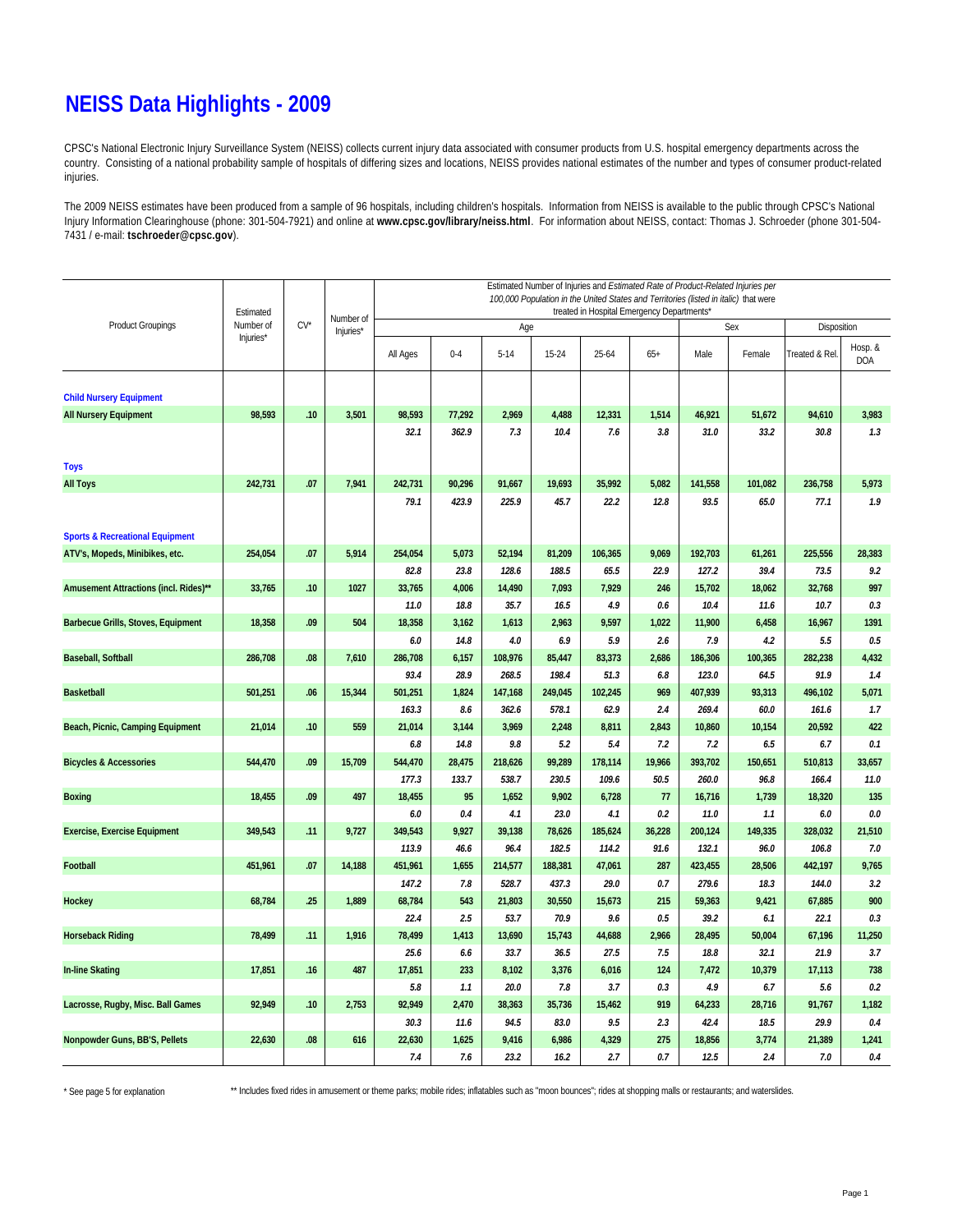#### **NEISS Data Highlights - 2009**

CPSC's National Electronic Injury Surveillance System (NEISS) collects current injury data associated with consumer products from U.S. hospital emergency departments across the country. Consisting of a national probability sample of hospitals of differing sizes and locations, NEISS provides national estimates of the number and types of consumer product-related injuries.

The 2009 NEISS estimates have been produced from a sample of 96 hospitals, including children's hospitals. Information from NEISS is available to the public through CPSC's National Injury Information Clearinghouse (phone: 301-504-7921) and online at **www.cpsc.gov/library/neiss.html**. For information about NEISS, contact: Thomas J. Schroeder (phone 301-504- 7431 / e-mail: **tschroeder@cpsc.gov**).

|                                            | Estimated |        | Number of | Estimated Number of Injuries and Estimated Rate of Product-Related Injuries per<br>100,000 Population in the United States and Territories (listed in italic) that were<br>treated in Hospital Emergency Departments* |              |                  |                  |                 |             |                  |                |                  |                       |  |  |
|--------------------------------------------|-----------|--------|-----------|-----------------------------------------------------------------------------------------------------------------------------------------------------------------------------------------------------------------------|--------------|------------------|------------------|-----------------|-------------|------------------|----------------|------------------|-----------------------|--|--|
| <b>Product Groupings</b>                   | Number of | $CV^*$ | Injuries* |                                                                                                                                                                                                                       |              | Age              |                  |                 |             |                  | Sex            | Disposition      |                       |  |  |
|                                            | Injuries* |        |           | All Ages                                                                                                                                                                                                              | $0 - 4$      | $5 - 14$         | $15 - 24$        | 25-64           | $65+$       | Male             | Female         | Treated & Rel.   | Hosp. &<br><b>DOA</b> |  |  |
| <b>Child Nursery Equipment</b>             |           |        |           |                                                                                                                                                                                                                       |              |                  |                  |                 |             |                  |                |                  |                       |  |  |
| <b>All Nursery Equipment</b>               | 98,593    | .10    | 3,501     | 98,593                                                                                                                                                                                                                | 77,292       | 2,969            | 4,488            | 12,331          | 1,514       | 46,921           | 51,672         | 94,610           | 3,983                 |  |  |
|                                            |           |        |           | 32.1                                                                                                                                                                                                                  | 362.9        | 7.3              | 10.4             | 7.6             | 3.8         | 31.0             | 33.2           | 30.8             | 1.3                   |  |  |
|                                            |           |        |           |                                                                                                                                                                                                                       |              |                  |                  |                 |             |                  |                |                  |                       |  |  |
| <b>Toys</b>                                |           |        |           |                                                                                                                                                                                                                       |              |                  |                  |                 |             |                  |                |                  |                       |  |  |
| <b>All Toys</b>                            | 242,731   | .07    | 7,941     | 242,731                                                                                                                                                                                                               | 90,296       | 91,667           | 19,693           | 35,992          | 5,082       | 141,558          | 101,082        | 236,758          | 5,973                 |  |  |
|                                            |           |        |           | 79.1                                                                                                                                                                                                                  | 423.9        | 225.9            | 45.7             | 22.2            | 12.8        | 93.5             | 65.0           | 77.1             | 1.9                   |  |  |
| <b>Sports &amp; Recreational Equipment</b> |           |        |           |                                                                                                                                                                                                                       |              |                  |                  |                 |             |                  |                |                  |                       |  |  |
| ATV's, Mopeds, Minibikes, etc.             | 254,054   | .07    | 5,914     | 254,054                                                                                                                                                                                                               | 5,073        | 52,194           | 81,209           | 106,365         | 9,069       | 192,703          | 61,261         | 225,556          | 28,383                |  |  |
|                                            |           |        |           | 82.8                                                                                                                                                                                                                  | 23.8         | 128.6            | 188.5            | 65.5            | 22.9        | 127.2            | 39.4           | 73.5             | 9.2                   |  |  |
| Amusement Attractions (incl. Rides)**      | 33,765    | .10    | 1027      | 33,765                                                                                                                                                                                                                | 4,006        | 14,490           | 7,093            | 7,929           | 246         | 15,702           | 18,062         | 32,768           | 997                   |  |  |
|                                            |           |        |           | 11.0                                                                                                                                                                                                                  | 18.8         | 35.7             | 16.5             | 4.9             | 0.6         | 10.4             | 11.6           | 10.7             | 0.3                   |  |  |
| <b>Barbecue Grills, Stoves, Equipment</b>  | 18,358    | .09    | 504       | 18,358                                                                                                                                                                                                                | 3,162        | 1,613            | 2,963            | 9,597           | 1,022       | 11,900           | 6,458          | 16,967           | 1391                  |  |  |
|                                            |           |        |           | 6.0                                                                                                                                                                                                                   | 14.8         | 4.0              | 6.9              | 5.9             | 2.6         | 7.9              | 4.2            | 5.5              | 0.5                   |  |  |
| <b>Baseball, Softball</b>                  | 286,708   | .08    | 7,610     | 286,708                                                                                                                                                                                                               | 6,157        | 108,976          | 85,447           | 83,373          | 2,686       | 186,306          | 100,365        | 282,238          | 4,432                 |  |  |
|                                            |           |        |           | 93.4                                                                                                                                                                                                                  | 28.9         | 268.5            | 198.4            | 51.3            | 6.8         | 123.0            | 64.5           | 91.9             | 1.4                   |  |  |
| <b>Basketball</b>                          | 501,251   | .06    | 15,344    | 501,251                                                                                                                                                                                                               | 1,824        | 147,168          | 249,045          | 102,245         | 969         | 407,939          | 93,313         | 496,102          | 5,071                 |  |  |
|                                            |           |        |           | 163.3                                                                                                                                                                                                                 | 8.6          | 362.6            | 578.1            | 62.9            | 2.4         | 269.4            | 60.0           | 161.6            | 1.7                   |  |  |
| Beach, Picnic, Camping Equipment           | 21,014    | .10    | 559       | 21,014                                                                                                                                                                                                                | 3,144        | 3,969            | 2,248            | 8,811           | 2,843       | 10,860           | 10,154         | 20,592           | 422                   |  |  |
|                                            |           |        |           | 6.8                                                                                                                                                                                                                   | 14.8         | 9.8              | 5.2              | 5.4             | 7.2         | 7.2              | 6.5            | 6.7              | 0.1                   |  |  |
| <b>Bicycles &amp; Accessories</b>          | 544,470   | .09    | 15,709    | 544,470                                                                                                                                                                                                               | 28,475       | 218,626          | 99,289           | 178,114         | 19,966      | 393,702          | 150,651        | 510,813          | 33,657                |  |  |
|                                            |           |        |           | 177.3                                                                                                                                                                                                                 | 133.7        | 538.7            | 230.5            | 109.6           | 50.5        | 260.0            | 96.8           | 166.4            | 11.0                  |  |  |
| <b>Boxing</b>                              | 18,455    | .09    | 497       | 18,455                                                                                                                                                                                                                | 95           | 1,652            | 9,902            | 6,728           | 77          | 16,716           | 1,739          | 18,320           | 135                   |  |  |
|                                            |           |        |           | 6.0                                                                                                                                                                                                                   | 0.4          | 4.1              | 23.0             | 4.1             | 0.2         | 11.0             | 1.1            | 6.0              | 0.0                   |  |  |
| <b>Exercise, Exercise Equipment</b>        | 349,543   | .11    | 9,727     | 349,543                                                                                                                                                                                                               | 9,927        | 39,138           | 78,626           | 185,624         | 36,228      | 200,124          | 149,335        | 328,032          | 21,510                |  |  |
| Football                                   | 451,961   | .07    | 14,188    | 113.9                                                                                                                                                                                                                 | 46.6         | 96.4             | 182.5<br>188,381 | 114.2<br>47,061 | 91.6<br>287 | 132.1            | 96.0           | 106.8<br>442,197 | 7.0                   |  |  |
|                                            |           |        |           | 451,961<br>147.2                                                                                                                                                                                                      | 1,655<br>7.8 | 214,577<br>528.7 | 437.3            | 29.0            | 0.7         | 423,455<br>279.6 | 28,506<br>18.3 | 144.0            | 9,765<br>3.2          |  |  |
| <b>Hockey</b>                              | 68,784    | .25    | 1,889     | 68,784                                                                                                                                                                                                                | 543          | 21,803           | 30,550           | 15,673          | 215         | 59,363           | 9,421          | 67,885           | 900                   |  |  |
|                                            |           |        |           | 22.4                                                                                                                                                                                                                  | 2.5          | 53.7             | 70.9             | 9.6             | 0.5         | 39.2             | 6.1            | 22.1             | 0.3                   |  |  |
| <b>Horseback Riding</b>                    | 78,499    | .11    | 1,916     | 78,499                                                                                                                                                                                                                | 1,413        | 13,690           | 15,743           | 44,688          | 2,966       | 28,495           | 50,004         | 67,196           | 11,250                |  |  |
|                                            |           |        |           | 25.6                                                                                                                                                                                                                  | 6.6          | 33.7             | 36.5             | 27.5            | 7.5         | 18.8             | 32.1           | 21.9             | 3.7                   |  |  |
| <b>In-line Skating</b>                     | 17,851    | .16    | 487       | 17,851                                                                                                                                                                                                                | 233          | 8,102            | 3,376            | 6,016           | 124         | 7,472            | 10,379         | 17,113           | 738                   |  |  |
|                                            |           |        |           | 5.8                                                                                                                                                                                                                   | 1.1          | 20.0             | 7.8              | 3.7             | 0.3         | 4.9              | 6.7            | 5.6              | 0.2                   |  |  |
| Lacrosse, Rugby, Misc. Ball Games          | 92,949    | .10    | 2,753     | 92,949                                                                                                                                                                                                                | 2,470        | 38,363           | 35,736           | 15,462          | 919         | 64,233           | 28,716         | 91,767           | 1,182                 |  |  |
|                                            |           |        |           | 30.3                                                                                                                                                                                                                  | 11.6         | 94.5             | 83.0             | 9.5             | 2.3         | 42.4             | 18.5           | 29.9             | 0.4                   |  |  |
| Nonpowder Guns, BB'S, Pellets              | 22,630    | .08    | 616       | 22,630                                                                                                                                                                                                                | 1,625        | 9,416            | 6,986            | 4,329           | 275         | 18,856           | 3,774          | 21,389           | 1,241                 |  |  |
|                                            |           |        |           | 7.4                                                                                                                                                                                                                   | 7.6          | 23.2             | 16.2             | 2.7             | 0.7         | 12.5             | 2.4            | 7.0              | 0.4                   |  |  |

\* See page 5 for explanation

\*\* Includes fixed rides in amusement or theme parks; mobile rides; inflatables such as "moon bounces"; rides at shopping malls or restaurants; and waterslides.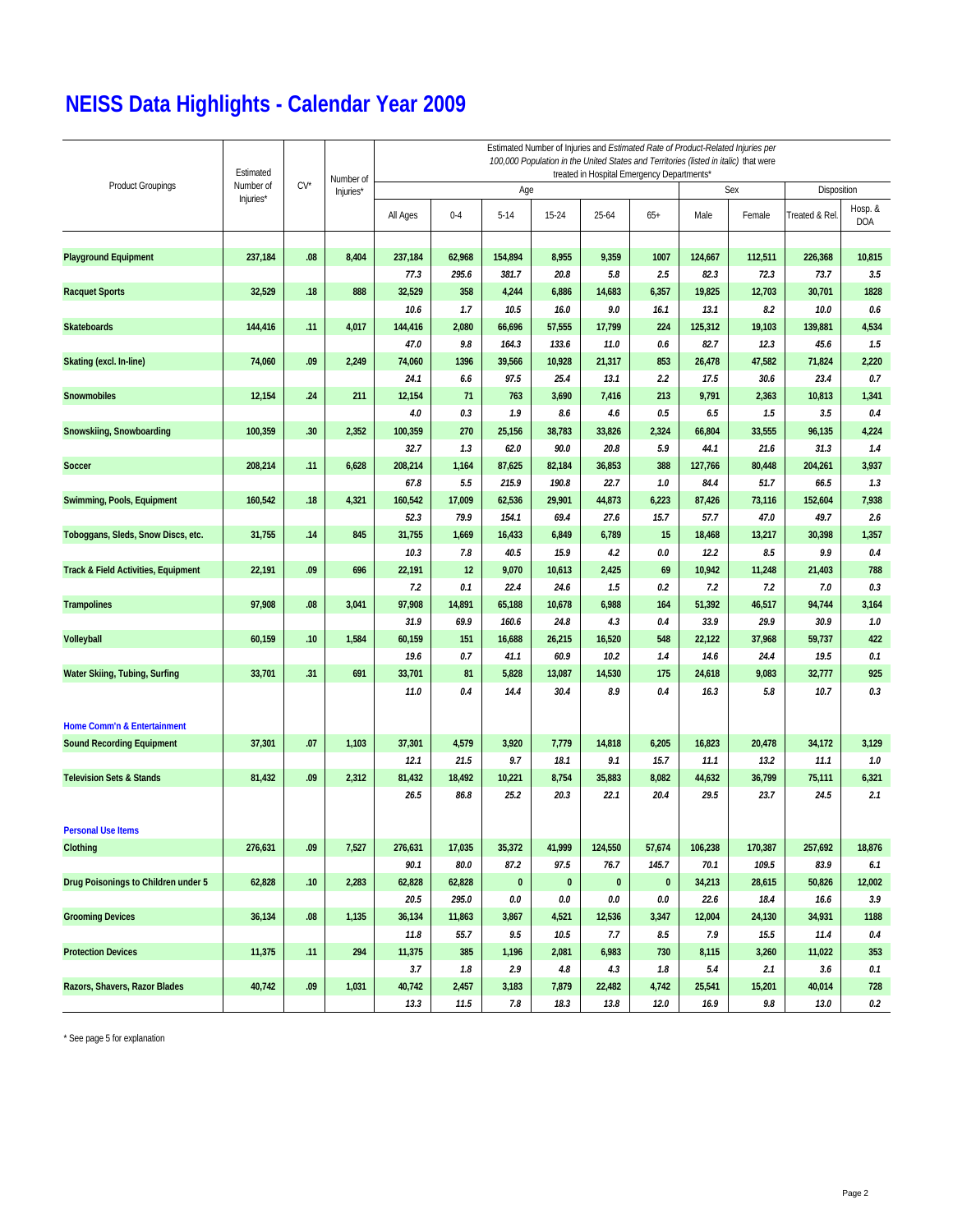|                                                | Estimated<br>Number of | $CV^*$ | Number of<br>Injuries* | Estimated Number of Injuries and Estimated Rate of Product-Related Injuries per<br>100,000 Population in the United States and Territories (listed in italic) that were<br>treated in Hospital Emergency Departments* |                |                 |                |              |            |                |                |                |                |  |  |
|------------------------------------------------|------------------------|--------|------------------------|-----------------------------------------------------------------------------------------------------------------------------------------------------------------------------------------------------------------------|----------------|-----------------|----------------|--------------|------------|----------------|----------------|----------------|----------------|--|--|
| <b>Product Groupings</b>                       |                        |        |                        |                                                                                                                                                                                                                       |                | Age             |                |              |            | Sex            | Disposition    |                |                |  |  |
|                                                | Injuries*              |        |                        | All Ages                                                                                                                                                                                                              | $0 - 4$        | $5 - 14$        | $15 - 24$      | 25-64        | $65+$      | Male           | Female         | Treated & Rel  | Hosp. &<br>DOA |  |  |
| <b>Playground Equipment</b>                    | 237,184                | .08    | 8,404                  | 237,184                                                                                                                                                                                                               | 62,968         | 154,894         | 8,955          | 9,359        | 1007       | 124,667        | 112,511        | 226,368        | 10,815         |  |  |
|                                                |                        |        |                        | 77.3                                                                                                                                                                                                                  | 295.6          | 381.7           | 20.8           | 5.8          | 2.5        | 82.3           | 72.3           | 73.7           | 3.5            |  |  |
| <b>Racquet Sports</b>                          | 32,529                 | .18    | 888                    | 32,529                                                                                                                                                                                                                | 358            | 4,244           | 6,886          | 14,683       | 6,357      | 19,825         | 12,703         | 30,701         | 1828           |  |  |
|                                                |                        |        |                        | 10.6                                                                                                                                                                                                                  | 1.7            | 10.5            | 16.0           | 9.0          | 16.1       | 13.1           | 8.2            | 10.0           | 0.6            |  |  |
| <b>Skateboards</b>                             | 144,416                | .11    | 4,017                  | 144,416                                                                                                                                                                                                               | 2,080          | 66,696          | 57,555         | 17,799       | 224        | 125,312        | 19,103         | 139,881        | 4,534          |  |  |
|                                                |                        |        |                        | 47.0                                                                                                                                                                                                                  | 9.8            | 164.3           | 133.6          | 11.0         | 0.6        | 82.7           | 12.3           | 45.6           | 1.5            |  |  |
| Skating (excl. In-line)                        | 74,060                 | .09    | 2,249                  | 74,060                                                                                                                                                                                                                | 1396           | 39,566          | 10,928         | 21,317       | 853        | 26,478         | 47,582         | 71,824         | 2,220          |  |  |
|                                                |                        |        |                        | 24.1                                                                                                                                                                                                                  | 6.6            | 97.5            | 25.4           | 13.1         | 2.2        | 17.5           | 30.6           | 23.4           | 0.7            |  |  |
| <b>Snowmobiles</b>                             | 12,154                 | .24    | 211                    | 12,154                                                                                                                                                                                                                | 71             | 763             | 3,690          | 7,416        | 213        | 9,791          | 2,363          | 10,813         | 1,341          |  |  |
|                                                |                        |        |                        | 4.0                                                                                                                                                                                                                   | 0.3            | 1.9             | 8.6            | 4.6          | 0.5        | 6.5            | 1.5            | 3.5            | 0.4            |  |  |
| Snowskiing, Snowboarding                       | 100,359                | .30    | 2,352                  | 100,359                                                                                                                                                                                                               | 270            | 25,156          | 38,783         | 33,826       | 2,324      | 66,804         | 33,555         | 96,135         | 4,224          |  |  |
|                                                |                        |        |                        | 32.7                                                                                                                                                                                                                  | 1.3            | 62.0            | 90.0           | 20.8         | 5.9        | 44.1           | 21.6           | 31.3           | 1.4            |  |  |
| <b>Soccer</b>                                  | 208,214                | .11    | 6,628                  | 208,214                                                                                                                                                                                                               | 1,164          | 87,625          | 82,184         | 36,853       | 388        | 127,766        | 80,448         | 204,261        | 3,937          |  |  |
|                                                |                        |        |                        | 67.8                                                                                                                                                                                                                  | 5.5            | 215.9           | 190.8          | 22.7         | 1.0        | 84.4           | 51.7           | 66.5           | 1.3            |  |  |
| Swimming, Pools, Equipment                     | 160,542                | .18    | 4,321                  | 160,542                                                                                                                                                                                                               | 17,009         | 62,536          | 29,901         | 44,873       | 6,223      | 87,426         | 73,116         | 152,604        | 7,938          |  |  |
|                                                |                        |        |                        | 52.3                                                                                                                                                                                                                  | 79.9           | 154.1           | 69.4           | 27.6         | 15.7       | 57.7           | 47.0           | 49.7           | 2.6            |  |  |
| Toboggans, Sleds, Snow Discs, etc.             | 31,755                 | .14    | 845                    | 31,755                                                                                                                                                                                                                | 1,669          | 16,433          | 6,849          | 6,789        | 15         | 18,468         | 13,217         | 30,398         | 1,357          |  |  |
|                                                |                        |        |                        | 10.3                                                                                                                                                                                                                  | 7.8            | 40.5            | 15.9           | 4.2          | 0.0        | 12.2           | 8.5            | 9.9            | 0.4            |  |  |
| <b>Track &amp; Field Activities, Equipment</b> | 22,191                 | .09    | 696                    | 22,191                                                                                                                                                                                                                | 12             | 9,070           | 10,613         | 2,425        | 69         | 10,942         | 11,248         | 21,403         | 788            |  |  |
|                                                |                        |        |                        | 7.2                                                                                                                                                                                                                   | 0.1            | 22.4            | 24.6           | 1.5          | 0.2        | 7.2            | 7.2            | 7.0            | 0.3            |  |  |
| <b>Trampolines</b>                             | 97,908                 | .08    | 3,041                  | 97,908<br>31.9                                                                                                                                                                                                        | 14,891<br>69.9 | 65,188<br>160.6 | 10,678<br>24.8 | 6,988<br>4.3 | 164<br>0.4 | 51,392<br>33.9 | 46,517<br>29.9 | 94,744<br>30.9 | 3,164<br>1.0   |  |  |
| Volleyball                                     | 60,159                 | .10    | 1,584                  | 60,159                                                                                                                                                                                                                | 151            | 16,688          | 26,215         | 16,520       | 548        | 22,122         | 37,968         | 59,737         | 422            |  |  |
|                                                |                        |        |                        | 19.6                                                                                                                                                                                                                  | 0.7            | 41.1            | 60.9           | 10.2         | 1.4        | 14.6           | 24.4           | 19.5           | 0.1            |  |  |
| Water Skiing, Tubing, Surfing                  | 33,701                 | .31    | 691                    | 33,701                                                                                                                                                                                                                | 81             | 5,828           | 13,087         | 14,530       | 175        | 24,618         | 9,083          | 32,777         | 925            |  |  |
|                                                |                        |        |                        | 11.0                                                                                                                                                                                                                  | 0.4            | 14.4            | 30.4           | 8.9          | 0.4        | 16.3           | 5.8            | 10.7           | 0.3            |  |  |
| <b>Home Comm'n &amp; Entertainment</b>         |                        |        |                        |                                                                                                                                                                                                                       |                |                 |                |              |            |                |                |                |                |  |  |
| <b>Sound Recording Equipment</b>               | 37,301                 | .07    | 1,103                  | 37,301                                                                                                                                                                                                                | 4,579          | 3,920           | 7,779          | 14,818       | 6,205      | 16,823         | 20,478         | 34,172         | 3,129          |  |  |
|                                                |                        |        |                        | 12.1                                                                                                                                                                                                                  | 21.5           | 9.7             | 18.1           | 9.1          | 15.7       | 11.1           | 13.2           | 11.1           | 1.0            |  |  |
| <b>Television Sets &amp; Stands</b>            | 81,432                 | .09    | 2,312                  | 81,432                                                                                                                                                                                                                | 18,492         | 10,221          | 8,754          | 35,883       | 8,082      | 44,632         | 36,799         | 75,111         | 6,321          |  |  |
|                                                |                        |        |                        | 26.5                                                                                                                                                                                                                  | 86.8           | 25.2            | 20.3           | 22.1         | 20.4       | 29.5           | 23.7           | 24.5           | 2.1            |  |  |
| <b>Personal Use Items</b>                      |                        |        |                        |                                                                                                                                                                                                                       |                |                 |                |              |            |                |                |                |                |  |  |
| Clothing                                       | 276,631                | .09    | 7,527                  | 276,631                                                                                                                                                                                                               | 17,035         | 35,372          | 41,999         | 124,550      | 57,674     | 106,238        | 170,387        | 257,692        | 18,876         |  |  |
|                                                |                        |        |                        | 90.1                                                                                                                                                                                                                  | 80.0           | 87.2            | 97.5           | 76.7         | 145.7      | 70.1           | 109.5          | 83.9           | 6.1            |  |  |
| Drug Poisonings to Children under 5            | 62,828                 | .10    | 2,283                  | 62,828                                                                                                                                                                                                                | 62,828         | $\pmb{0}$       | $\pmb{0}$      | $\pmb{0}$    | $\pmb{0}$  | 34,213         | 28,615         | 50,826         | 12,002         |  |  |
|                                                |                        |        |                        | 20.5                                                                                                                                                                                                                  | 295.0          | 0.0             | 0.0            | 0.0          | 0.0        | 22.6           | 18.4           | 16.6           | 3.9            |  |  |
| <b>Grooming Devices</b>                        | 36,134                 | .08    | 1,135                  | 36,134                                                                                                                                                                                                                | 11,863         | 3,867           | 4,521          | 12,536       | 3,347      | 12,004         | 24,130         | 34,931         | 1188           |  |  |
|                                                |                        |        |                        | 11.8                                                                                                                                                                                                                  | 55.7           | 9.5             | 10.5           | 7.7          | 8.5        | 7.9            | 15.5           | 11.4           | 0.4            |  |  |
| <b>Protection Devices</b>                      | 11,375                 | .11    | 294                    | 11,375                                                                                                                                                                                                                | 385            | 1,196           | 2,081          | 6,983        | 730        | 8,115          | 3,260          | 11,022         | 353            |  |  |
|                                                |                        |        |                        | 3.7                                                                                                                                                                                                                   | 1.8            | 2.9             | 4.8            | 4.3          | 1.8        | 5.4            | 2.1            | 3.6            | 0.1            |  |  |
| Razors, Shavers, Razor Blades                  | 40,742                 | .09    | 1,031                  | 40,742                                                                                                                                                                                                                | 2,457          | 3,183           | 7,879          | 22,482       | 4,742      | 25,541         | 15,201         | 40,014         | 728            |  |  |
|                                                |                        |        |                        | 13.3                                                                                                                                                                                                                  | 11.5           | 7.8             | 18.3           | 13.8         | 12.0       | 16.9           | $9.8\,$        | 13.0           | $0.2\,$        |  |  |

\* See page 5 for explanation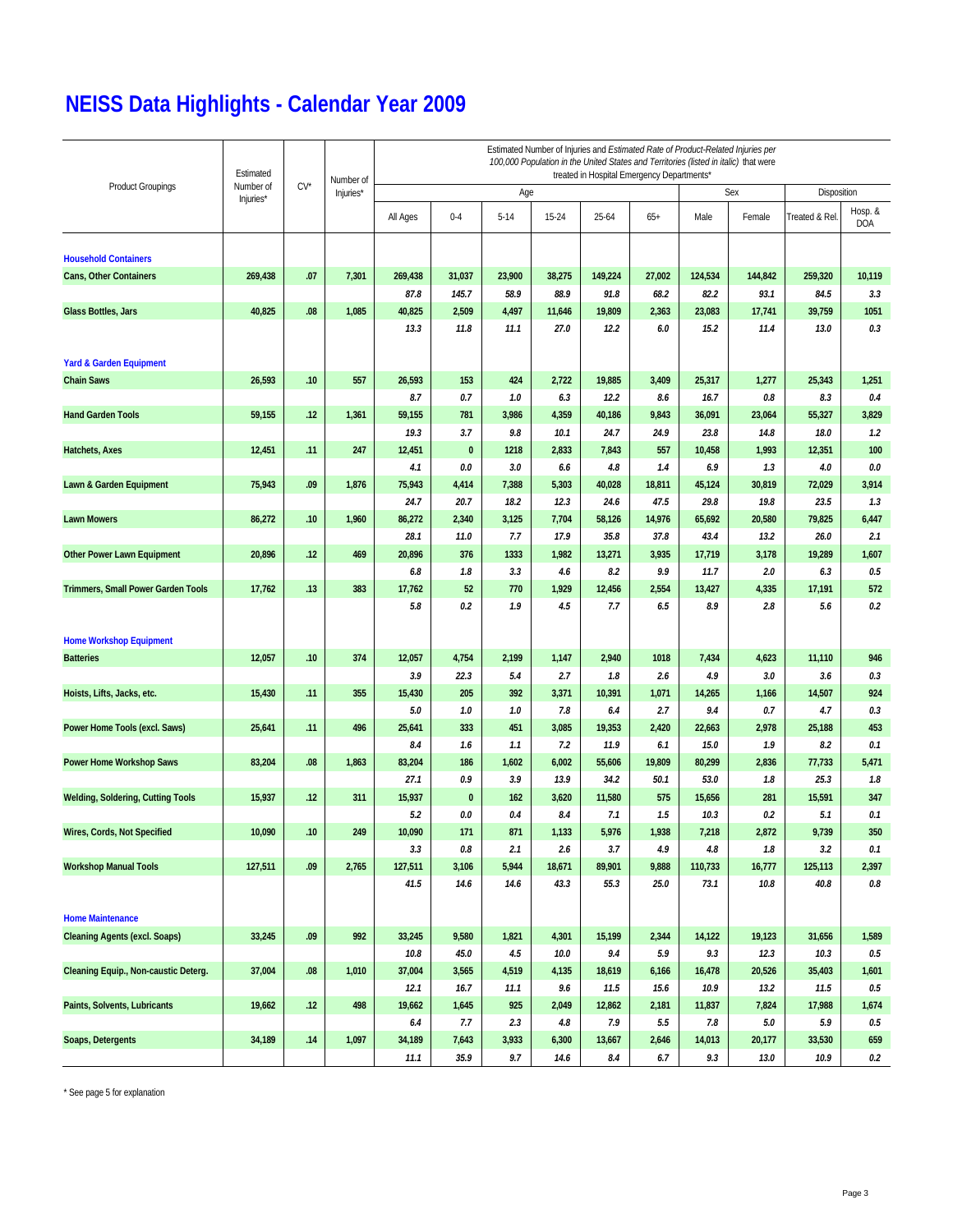|                                           | Estimated |        | Number of | Estimated Number of Injuries and Estimated Rate of Product-Related Injuries per<br>100,000 Population in the United States and Territories (listed in italic) that were<br>treated in Hospital Emergency Departments* |               |              |              |               |                |                |                |                |                  |  |  |
|-------------------------------------------|-----------|--------|-----------|-----------------------------------------------------------------------------------------------------------------------------------------------------------------------------------------------------------------------|---------------|--------------|--------------|---------------|----------------|----------------|----------------|----------------|------------------|--|--|
| <b>Product Groupings</b>                  | Number of | $CV^*$ | Injuries* |                                                                                                                                                                                                                       |               | Age          |              |               |                |                | Sex            | Disposition    |                  |  |  |
|                                           | Injuries* |        |           | All Ages                                                                                                                                                                                                              | $0 - 4$       | $5 - 14$     | 15-24        | 25-64         | $65+$          | Male           | Female         | Treated & Rel. | Hosp. &<br>DOA   |  |  |
| <b>Household Containers</b>               |           |        |           |                                                                                                                                                                                                                       |               |              |              |               |                |                |                |                |                  |  |  |
| <b>Cans, Other Containers</b>             | 269,438   | .07    | 7,301     | 269,438                                                                                                                                                                                                               | 31,037        | 23,900       | 38,275       | 149,224       | 27,002         | 124,534        | 144,842        | 259,320        | 10,119           |  |  |
|                                           |           |        |           | 87.8                                                                                                                                                                                                                  | 145.7         | 58.9         | 88.9         | 91.8          | 68.2           | 82.2           | 93.1           | 84.5           | 3.3              |  |  |
| Glass Bottles, Jars                       | 40,825    | .08    | 1,085     | 40,825                                                                                                                                                                                                                | 2,509         | 4,497        | 11,646       | 19,809        | 2,363          | 23,083         | 17,741         | 39,759         | 1051             |  |  |
|                                           |           |        |           | 13.3                                                                                                                                                                                                                  | 11.8          | 11.1         | 27.0         | 12.2          | 6.0            | 15.2           | 11.4           | 13.0           | 0.3              |  |  |
| <b>Yard &amp; Garden Equipment</b>        |           |        |           |                                                                                                                                                                                                                       |               |              |              |               |                |                |                |                |                  |  |  |
| <b>Chain Saws</b>                         | 26,593    | .10    | 557       | 26,593                                                                                                                                                                                                                | 153           | 424          | 2,722        | 19,885        | 3,409          | 25,317         | 1,277          | 25,343         | 1,251            |  |  |
|                                           |           |        |           | 8.7                                                                                                                                                                                                                   | 0.7           | 1.0          | 6.3          | 12.2          | 8.6            | 16.7           | 0.8            | 8.3            | 0.4              |  |  |
| <b>Hand Garden Tools</b>                  | 59,155    | .12    | 1,361     | 59,155                                                                                                                                                                                                                | 781           | 3,986        | 4,359        | 40,186        | 9,843          | 36,091         | 23,064         | 55,327         | 3,829            |  |  |
|                                           |           |        |           | 19.3                                                                                                                                                                                                                  | 3.7           | 9.8          | 10.1         | 24.7          | 24.9           | 23.8           | 14.8           | 18.0           | 1.2              |  |  |
| Hatchets, Axes                            | 12,451    | .11    | 247       | 12,451                                                                                                                                                                                                                | $\pmb{0}$     | 1218         | 2,833        | 7,843         | 557            | 10,458         | 1,993          | 12,351         | 100              |  |  |
|                                           |           | .09    |           | 4.1<br>75,943                                                                                                                                                                                                         | 0.0           | 3.0<br>7,388 | 6.6<br>5,303 | 4.8<br>40,028 | 1.4            | 6.9            | 1.3            | 4.0            | 0.0<br>3,914     |  |  |
| Lawn & Garden Equipment                   | 75,943    |        | 1,876     | 24.7                                                                                                                                                                                                                  | 4,414<br>20.7 | 18.2         | 12.3         | 24.6          | 18,811<br>47.5 | 45,124<br>29.8 | 30,819<br>19.8 | 72,029<br>23.5 | 1.3              |  |  |
| <b>Lawn Mowers</b>                        | 86,272    | .10    | 1,960     | 86,272                                                                                                                                                                                                                | 2,340         | 3,125        | 7,704        | 58,126        | 14,976         | 65,692         | 20,580         | 79,825         | 6,447            |  |  |
|                                           |           |        |           | 28.1                                                                                                                                                                                                                  | 11.0          | 7.7          | 17.9         | 35.8          | 37.8           | 43.4           | 13.2           | 26.0           | 2.1              |  |  |
| <b>Other Power Lawn Equipment</b>         | 20,896    | .12    | 469       | 20,896                                                                                                                                                                                                                | 376           | 1333         | 1,982        | 13,271        | 3,935          | 17,719         | 3,178          | 19,289         | 1,607            |  |  |
|                                           |           |        |           | 6.8                                                                                                                                                                                                                   | 1.8           | 3.3          | 4.6          | 8.2           | 9.9            | 11.7           | 2.0            | 6.3            | 0.5              |  |  |
| <b>Trimmers, Small Power Garden Tools</b> | 17,762    | .13    | 383       | 17,762                                                                                                                                                                                                                | 52            | 770          | 1,929        | 12,456        | 2,554          | 13,427         | 4,335          | 17,191         | 572              |  |  |
|                                           |           |        |           | 5.8                                                                                                                                                                                                                   | 0.2           | 1.9          | 4.5          | 7.7           | 6.5            | 8.9            | 2.8            | 5.6            | 0.2              |  |  |
| <b>Home Workshop Equipment</b>            |           |        |           |                                                                                                                                                                                                                       |               |              |              |               |                |                |                |                |                  |  |  |
| <b>Batteries</b>                          | 12,057    | .10    | 374       | 12,057                                                                                                                                                                                                                | 4,754         | 2,199        | 1,147        | 2,940         | 1018           | 7,434          | 4,623          | 11,110         | 946              |  |  |
|                                           |           |        | 355       | 3.9<br>15,430                                                                                                                                                                                                         | 22.3<br>205   | 5.4<br>392   | 2.7<br>3,371 | 1.8<br>10,391 | 2.6<br>1,071   | 4.9<br>14,265  | 3.0            | 3.6<br>14,507  | 0.3<br>924       |  |  |
| Hoists, Lifts, Jacks, etc.                | 15,430    | .11    |           | 5.0                                                                                                                                                                                                                   | 1.0           | 1.0          | 7.8          | 6.4           | 2.7            | 9.4            | 1,166<br>0.7   | 4.7            | 0.3              |  |  |
| Power Home Tools (excl. Saws)             | 25,641    | .11    | 496       | 25,641                                                                                                                                                                                                                | 333           | 451          | 3,085        | 19,353        | 2,420          | 22,663         | 2,978          | 25,188         | 453              |  |  |
|                                           |           |        |           | 8.4                                                                                                                                                                                                                   | 1.6           | 1.1          | 7.2          | 11.9          | 6.1            | 15.0           | 1.9            | 8.2            | 0.1              |  |  |
| Power Home Workshop Saws                  | 83,204    | .08    | 1,863     | 83,204                                                                                                                                                                                                                | 186           | 1,602        | 6,002        | 55,606        | 19,809         | 80,299         | 2,836          | 77,733         | 5,471            |  |  |
|                                           |           |        |           | 27.1                                                                                                                                                                                                                  | 0.9           | 3.9          | 13.9         | 34.2          | 50.1           | 53.0           | 1.8            | 25.3           | 1.8              |  |  |
| <b>Welding, Soldering, Cutting Tools</b>  | 15,937    | .12    | 311       | 15,937                                                                                                                                                                                                                | $\pmb{0}$     | 162          | 3,620        | 11,580        | 575            | 15,656         | 281            | 15,591         | 347              |  |  |
|                                           |           |        |           | 5.2                                                                                                                                                                                                                   | 0.0           | 0.4          | 8.4          | 7.1           | 1.5            | 10.3           | 0.2            | 5.1            | 0.1              |  |  |
| Wires, Cords, Not Specified               | 10,090    | .10    | 249       | 10,090                                                                                                                                                                                                                | 171           | 871          | 1,133        | 5,976         | 1,938          | 7,218          | 2,872          | 9,739          | 350              |  |  |
|                                           |           |        |           | 3.3                                                                                                                                                                                                                   | 0.8           | 2.1          | 2.6          | 3.7           | 4.9            | 4.8            | 1.8            | 3.2            | 0.1              |  |  |
| <b>Workshop Manual Tools</b>              | 127,511   | .09    | 2,765     | 127,511                                                                                                                                                                                                               | 3,106         | 5,944        | 18,671       | 89,901        | 9,888          | 110,733        | 16,777         | 125,113        | 2,397            |  |  |
|                                           |           |        |           | 41.5                                                                                                                                                                                                                  | 14.6          | 14.6         | 43.3         | 55.3          | 25.0           | 73.1           | 10.8           | 40.8           | $0.8\,$          |  |  |
| <b>Home Maintenance</b>                   |           |        |           |                                                                                                                                                                                                                       |               |              |              |               |                |                |                |                |                  |  |  |
| <b>Cleaning Agents (excl. Soaps)</b>      | 33,245    | .09    | 992       | 33,245                                                                                                                                                                                                                | 9,580         | 1,821        | 4,301        | 15,199        | 2,344          | 14,122         | 19,123         | 31,656         | 1,589            |  |  |
|                                           |           |        |           | 10.8                                                                                                                                                                                                                  | 45.0          | 4.5          | 10.0         | 9.4           | 5.9            | 9.3            | 12.3           | 10.3           | $0.5\,$          |  |  |
| Cleaning Equip., Non-caustic Deterg.      | 37,004    | .08    | 1,010     | 37,004                                                                                                                                                                                                                | 3,565         | 4,519        | 4,135        | 18,619        | 6,166          | 16,478         | 20,526         | 35,403         | 1,601            |  |  |
|                                           |           |        |           | 12.1                                                                                                                                                                                                                  | 16.7          | 11.1         | 9.6          | 11.5          | 15.6           | 10.9           | 13.2           | 11.5           | $0.5\,$          |  |  |
| Paints, Solvents, Lubricants              | 19,662    | .12    | 498       | 19,662<br>6.4                                                                                                                                                                                                         | 1,645<br>7.7  | 925<br>2.3   | 2,049<br>4.8 | 12,862<br>7.9 | 2,181<br>5.5   | 11,837<br>7.8  | 7,824<br>5.0   | 17,988<br>5.9  | 1,674<br>$0.5\,$ |  |  |
| Soaps, Detergents                         | 34,189    | .14    | 1,097     | 34,189                                                                                                                                                                                                                | 7,643         | 3,933        | 6,300        | 13,667        | 2,646          | 14,013         | 20,177         | 33,530         | 659              |  |  |
|                                           |           |        |           | 11.1                                                                                                                                                                                                                  | 35.9          | 9.7          | 14.6         | 8.4           | 6.7            | 9.3            | 13.0           | 10.9           | $0.2\,$          |  |  |

\* See page 5 for explanation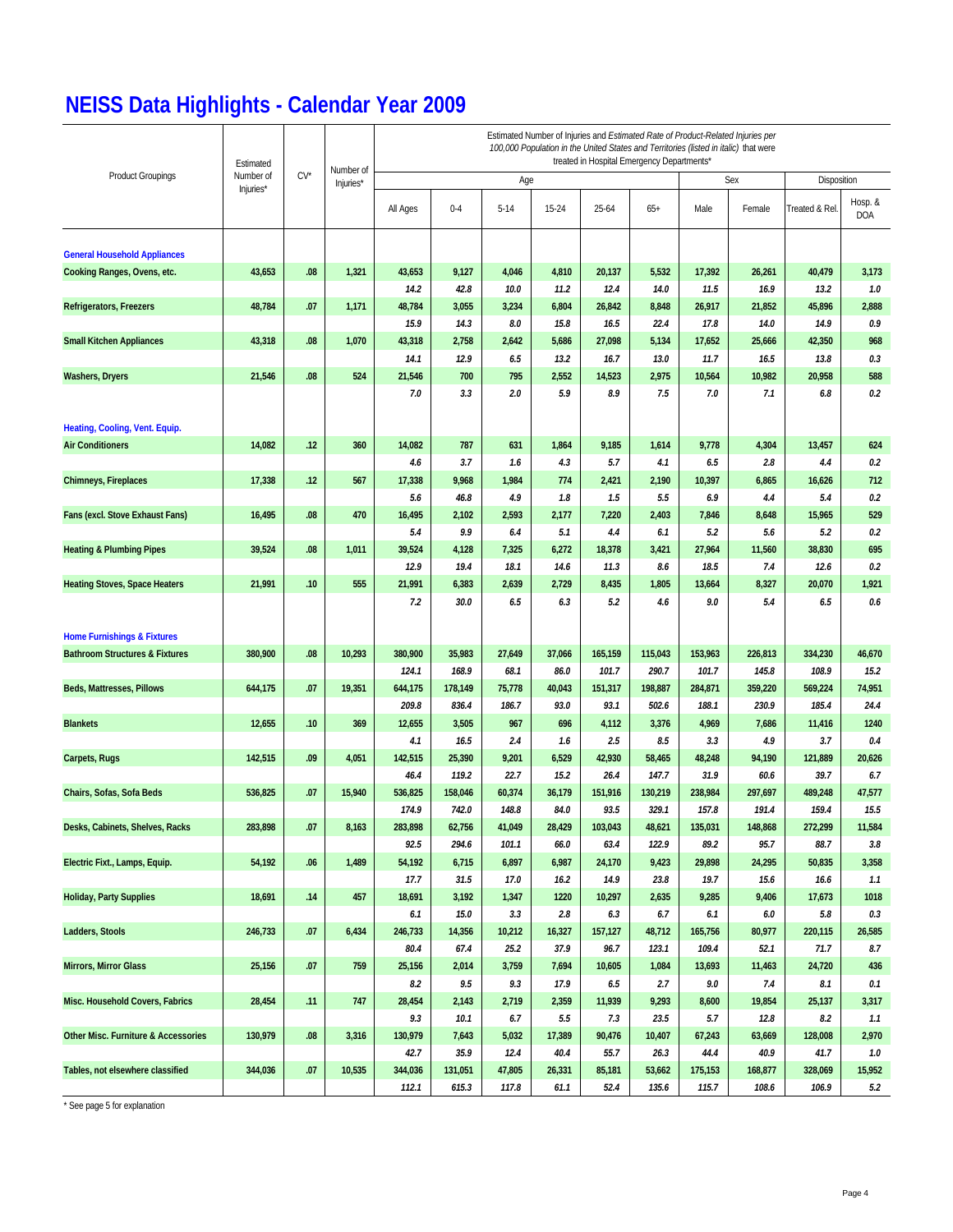|                                                | Estimated |        |                        | Estimated Number of Injuries and Estimated Rate of Product-Related Injuries per<br>100,000 Population in the United States and Territories (listed in italic) that were<br>treated in Hospital Emergency Departments* |                  |                 |                |                 |                  |                  |                  |                  |                |  |  |
|------------------------------------------------|-----------|--------|------------------------|-----------------------------------------------------------------------------------------------------------------------------------------------------------------------------------------------------------------------|------------------|-----------------|----------------|-----------------|------------------|------------------|------------------|------------------|----------------|--|--|
| <b>Product Groupings</b>                       | Number of | $CV^*$ | Number of<br>Injuries* |                                                                                                                                                                                                                       |                  | Age             |                |                 |                  |                  | Sex              | Disposition      |                |  |  |
|                                                | Injuries* |        |                        | All Ages                                                                                                                                                                                                              | $0 - 4$          | $5 - 14$        | $15 - 24$      | $25 - 64$       | $65+$            | Male             | Female           | Treated & Rel.   | Hosp. &<br>DOA |  |  |
| <b>General Household Appliances</b>            |           |        |                        |                                                                                                                                                                                                                       |                  |                 |                |                 |                  |                  |                  |                  |                |  |  |
| Cooking Ranges, Ovens, etc.                    | 43,653    | .08    | 1,321                  | 43,653                                                                                                                                                                                                                | 9,127            | 4,046           | 4,810          | 20,137          | 5,532            | 17,392           | 26,261           | 40,479           | 3,173          |  |  |
|                                                |           |        |                        | 14.2                                                                                                                                                                                                                  | 42.8             | 10.0            | 11.2           | 12.4            | 14.0             | 11.5             | 16.9             | 13.2             | 1.0            |  |  |
| <b>Refrigerators, Freezers</b>                 | 48,784    | .07    | 1,171                  | 48,784                                                                                                                                                                                                                | 3,055            | 3,234           | 6,804          | 26,842          | 8,848            | 26,917           | 21,852           | 45,896           | 2,888          |  |  |
|                                                |           |        |                        | 15.9                                                                                                                                                                                                                  | 14.3             | 8.0             | 15.8           | 16.5            | 22.4             | 17.8             | 14.0             | 14.9             | 0.9            |  |  |
| <b>Small Kitchen Appliances</b>                | 43,318    | .08    | 1,070                  | 43,318                                                                                                                                                                                                                | 2,758            | 2,642           | 5,686          | 27,098          | 5,134            | 17,652           | 25,666           | 42,350           | 968            |  |  |
|                                                |           |        |                        | 14.1                                                                                                                                                                                                                  | 12.9             | 6.5             | 13.2           | 16.7            | 13.0             | 11.7             | 16.5             | 13.8             | 0.3            |  |  |
| <b>Washers, Dryers</b>                         | 21,546    | .08    | 524                    | 21,546                                                                                                                                                                                                                | 700              | 795             | 2,552          | 14,523          | 2,975            | 10,564           | 10,982           | 20,958           | 588            |  |  |
|                                                |           |        |                        | 7.0                                                                                                                                                                                                                   | 3.3              | 2.0             | 5.9            | 8.9             | 7.5              | 7.0              | 7.1              | 6.8              | 0.2            |  |  |
| Heating, Cooling, Vent. Equip.                 |           |        |                        |                                                                                                                                                                                                                       |                  |                 |                |                 |                  |                  |                  |                  |                |  |  |
| <b>Air Conditioners</b>                        | 14,082    | .12    | 360                    | 14,082                                                                                                                                                                                                                | 787              | 631             | 1,864          | 9,185           | 1,614            | 9,778            | 4,304            | 13,457           | 624            |  |  |
|                                                |           |        |                        | 4.6                                                                                                                                                                                                                   | 3.7              | 1.6             | 4.3            | 5.7             | 4.1              | 6.5              | 2.8              | 4.4              | 0.2            |  |  |
| <b>Chimneys, Fireplaces</b>                    | 17,338    | .12    | 567                    | 17,338                                                                                                                                                                                                                | 9,968            | 1,984           | 774            | 2,421           | 2,190            | 10,397           | 6,865            | 16,626           | 712            |  |  |
|                                                |           |        |                        | 5.6                                                                                                                                                                                                                   | 46.8             | 4.9             | 1.8            | 1.5             | 5.5              | 6.9              | 4.4              | 5.4              | 0.2            |  |  |
| Fans (excl. Stove Exhaust Fans)                | 16,495    | .08    | 470                    | 16,495                                                                                                                                                                                                                | 2,102            | 2,593           | 2,177          | 7,220           | 2,403            | 7,846            | 8,648            | 15,965           | 529            |  |  |
|                                                |           |        |                        | 5.4                                                                                                                                                                                                                   | 9.9              | 6.4             | 5.1            | 4.4             | 6.1              | 5.2              | 5.6              | 5.2              | 0.2            |  |  |
| <b>Heating &amp; Plumbing Pipes</b>            | 39,524    | .08    | 1,011                  | 39,524                                                                                                                                                                                                                | 4,128            | 7,325           | 6,272          | 18,378          | 3,421            | 27,964           | 11,560           | 38,830           | 695            |  |  |
|                                                |           |        |                        | 12.9                                                                                                                                                                                                                  | 19.4             | 18.1            | 14.6           | 11.3            | 8.6              | 18.5             | 7.4              | 12.6             | 0.2            |  |  |
| <b>Heating Stoves, Space Heaters</b>           | 21,991    | .10    | 555                    | 21,991                                                                                                                                                                                                                | 6,383            | 2,639           | 2,729          | 8,435           | 1,805            | 13,664           | 8,327            | 20,070           | 1,921          |  |  |
|                                                |           |        |                        | 7.2                                                                                                                                                                                                                   | 30.0             | 6.5             | 6.3            | 5.2             | 4.6              | 9.0              | 5.4              | 6.5              | 0.6            |  |  |
| <b>Home Furnishings &amp; Fixtures</b>         |           |        |                        |                                                                                                                                                                                                                       |                  |                 |                |                 |                  |                  |                  |                  |                |  |  |
| <b>Bathroom Structures &amp; Fixtures</b>      | 380,900   | .08    | 10,293                 | 380,900                                                                                                                                                                                                               | 35,983           | 27,649          | 37,066         | 165,159         | 115,043          | 153,963          | 226,813          | 334,230          | 46,670         |  |  |
|                                                |           |        |                        | 124.1                                                                                                                                                                                                                 | 168.9            | 68.1            | 86.0           | 101.7           | 290.7            | 101.7            | 145.8            | 108.9            | 15.2           |  |  |
| Beds, Mattresses, Pillows                      | 644,175   | .07    | 19,351                 | 644,175<br>209.8                                                                                                                                                                                                      | 178,149<br>836.4 | 75,778<br>186.7 | 40,043<br>93.0 | 151,317<br>93.1 | 198,887<br>502.6 | 284,871<br>188.1 | 359,220<br>230.9 | 569,224<br>185.4 | 74,951<br>24.4 |  |  |
| <b>Blankets</b>                                | 12,655    | .10    | 369                    | 12,655                                                                                                                                                                                                                | 3,505            | 967             | 696            | 4,112           |                  | 4,969            | 7,686            | 11,416           | 1240           |  |  |
|                                                |           |        |                        | 4.1                                                                                                                                                                                                                   | 16.5             | 2.4             | 1.6            | 2.5             | 3,376<br>8.5     | 3.3              | 4.9              | 3.7              | 0.4            |  |  |
| Carpets, Rugs                                  | 142,515   | .09    | 4,051                  | 142,515                                                                                                                                                                                                               | 25,390           | 9,201           | 6,529          | 42,930          | 58,465           | 48,248           | 94,190           | 121,889          | 20,626         |  |  |
|                                                |           |        |                        | 46.4                                                                                                                                                                                                                  | 119.2            | 22.7            | 15.2           | 26.4            | 147.7            | 31.9             | 60.6             | 39.7             | 6.7            |  |  |
| Chairs, Sofas, Sofa Beds                       | 536,825   | .07    | 15,940                 | 536,825                                                                                                                                                                                                               | 158,046          | 60,374          | 36,179         | 151,916         | 130,219          | 238,984          | 297,697          | 489,248          | 47,577         |  |  |
|                                                |           |        |                        | 174.9                                                                                                                                                                                                                 | 742.0            | 148.8           | 84.0           | 93.5            | 329.1            | 157.8            | 191.4            | 159.4            | 15.5           |  |  |
| Desks, Cabinets, Shelves, Racks                | 283,898   | .07    | 8,163                  | 283,898                                                                                                                                                                                                               | 62,756           | 41,049          | 28,429         | 103,043         | 48.621           | 135.031          | 148,868          | 272.299          | 11,584         |  |  |
|                                                |           |        |                        | 92.5                                                                                                                                                                                                                  | 294.6            | 101.1           | 66.0           | 63.4            | 122.9            | 89.2             | 95.7             | 88.7             | 3.8            |  |  |
| Electric Fixt., Lamps, Equip.                  | 54,192    | .06    | 1,489                  | 54,192                                                                                                                                                                                                                | 6,715            | 6,897           | 6,987          | 24,170          | 9,423            | 29,898           | 24,295           | 50,835           | 3,358          |  |  |
|                                                |           |        |                        | 17.7                                                                                                                                                                                                                  | 31.5             | 17.0            | 16.2           | 14.9            | 23.8             | 19.7             | 15.6             | 16.6             | 1.1            |  |  |
| <b>Holiday, Party Supplies</b>                 | 18,691    | .14    | 457                    | 18,691                                                                                                                                                                                                                | 3,192            | 1,347           | 1220           | 10,297          | 2,635            | 9,285            | 9,406            | 17,673           | 1018           |  |  |
|                                                |           |        |                        | 6.1                                                                                                                                                                                                                   | 15.0             | 3.3             | 2.8            | 6.3             | 6.7              | 6.1              | $6.0\,$          | 5.8              | 0.3            |  |  |
| <b>Ladders, Stools</b>                         | 246,733   | .07    | 6,434                  | 246,733                                                                                                                                                                                                               | 14,356           | 10,212          | 16,327         | 157,127         | 48,712           | 165,756          | 80,977           | 220,115          | 26,585         |  |  |
|                                                |           |        |                        | 80.4                                                                                                                                                                                                                  | 67.4             | 25.2            | 37.9           | 96.7            | 123.1            | 109.4            | 52.1             | 71.7             | 8.7            |  |  |
| <b>Mirrors, Mirror Glass</b>                   | 25,156    | .07    | 759                    | 25,156                                                                                                                                                                                                                | 2,014            | 3,759           | 7,694          | 10,605          | 1,084            | 13,693           | 11,463           | 24,720           | 436            |  |  |
|                                                |           |        |                        | 8.2                                                                                                                                                                                                                   | 9.5              | 9.3             | 17.9           | 6.5             | 2.7              | 9.0              | 7.4              | 8.1              | 0.1            |  |  |
| Misc. Household Covers, Fabrics                | 28,454    | .11    | 747                    | 28,454                                                                                                                                                                                                                | 2,143            | 2,719           | 2,359          | 11,939          | 9,293            | 8,600            | 19,854           | 25,137           | 3,317          |  |  |
|                                                |           |        |                        | 9.3                                                                                                                                                                                                                   | 10.1             | 6.7             | 5.5            | 7.3             | 23.5             | 5.7              | 12.8             | 8.2              | 1.1            |  |  |
| <b>Other Misc. Furniture &amp; Accessories</b> | 130,979   | .08    | 3,316                  | 130,979                                                                                                                                                                                                               | 7,643            | 5,032           | 17,389         | 90,476          | 10,407           | 67,243           | 63,669           | 128,008          | 2,970          |  |  |
|                                                |           |        |                        | 42.7                                                                                                                                                                                                                  | 35.9             | 12.4            | 40.4           | 55.7            | 26.3             | 44.4             | 40.9             | 41.7             | 1.0            |  |  |
| Tables, not elsewhere classified               | 344,036   | .07    | 10,535                 | 344,036                                                                                                                                                                                                               | 131,051          | 47,805          | 26,331         | 85,181          | 53,662           | 175,153          | 168,877          | 328,069          | 15,952         |  |  |
|                                                |           |        |                        | 112.1                                                                                                                                                                                                                 | 615.3            | 117.8           | 61.1           | 52.4            | 135.6            | 115.7            | 108.6            | 106.9            | 5.2            |  |  |

\* See page 5 for explanation